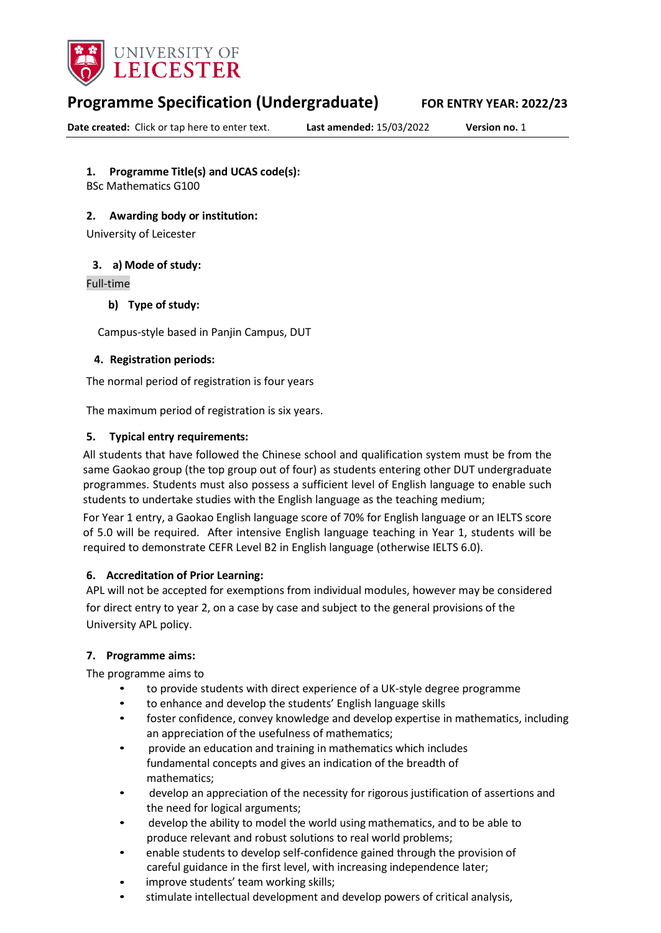

# **Programme Specification (Undergraduate) FOR ENTRY YEAR: 2022/23**

**Date created:** Click or tap here to enter text. **Last amended:** 15/03/2022 **Version no.** 1

# **1. Programme Title(s) and UCAS code(s):**

BSc Mathematics G100

# **2. Awarding body or institution:**

University of Leicester

#### **3. a) Mode of study:**

#### Full-time

# **b) Type of study:**

Campus-style based in Panjin Campus, DUT

# **4. Registration periods:**

The normal period of registration is four years

The maximum period of registration is six years.

# **5. Typical entry requirements:**

All students that have followed the Chinese school and qualification system must be from the same Gaokao group (the top group out of four) as students entering other DUT undergraduate programmes. Students must also possess a sufficient level of English language to enable such students to undertake studies with the English language as the teaching medium;

For Year 1 entry, a Gaokao English language score of 70% for English language or an IELTS score of 5.0 will be required. After intensive English language teaching in Year 1, students will be required to demonstrate CEFR Level B2 in English language (otherwise IELTS 6.0).

#### **6. Accreditation of Prior Learning:**

APL will not be accepted for exemptions from individual modules, however may be considered for direct entry to year 2, on a case by case and subject to the general provisions of the University APL policy.

#### **7. Programme aims:**

The programme aims to

- to provide students with direct experience of a UK-style degree programme
- to enhance and develop the students' English language skills
- foster confidence, convey knowledge and develop expertise in mathematics, including an appreciation of the usefulness of mathematics;
- provide an education and training in mathematics which includes fundamental concepts and gives an indication of the breadth of mathematics;
- develop an appreciation of the necessity for rigorous justification of assertions and the need for logical arguments;
- develop the ability to model the world using mathematics, and to be able to produce relevant and robust solutions to real world problems;
- enable students to develop self-confidence gained through the provision of careful guidance in the first level, with increasing independence later;
- improve students' team working skills;
- stimulate intellectual development and develop powers of critical analysis,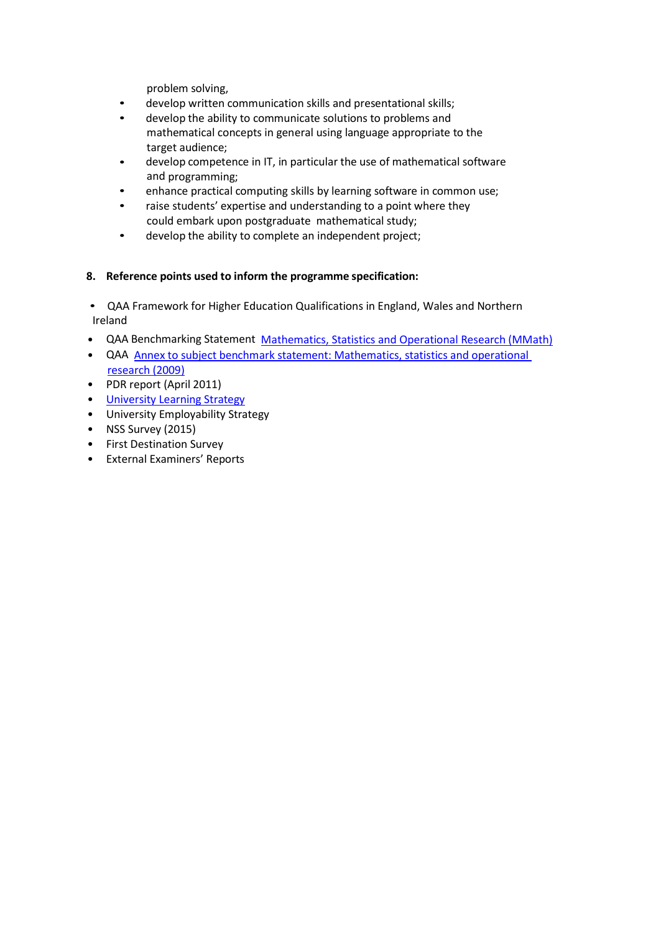problem solving,

- develop written communication skills and presentational skills;
- develop the ability to communicate solutions to problems and mathematical concepts in general using language appropriate to the target audience;
- develop competence in IT, in particular the use of mathematical software and programming;
- enhance practical computing skills by learning software in common use;
- raise students' expertise and understanding to a point where they could embark upon postgraduate mathematical study;
- develop the ability to complete an independent project;

# **8. Reference points used to inform the programme specification:**

• QAA Framework for Higher Education Qualifications in England, Wales and Northern Ireland

- QAA Benchmarking Statement Mathematics, [Statistics and Operational Research](http://www.qaa.ac.uk/en/Publications/Documents/Subject-benchmark-statement-Mathematics-statistics-and-operational-research.pdf) (MMath)
- QAA Annex to subject benchmark statement: Mathematics, statistics [and operational](http://www.qaa.ac.uk/en/Publications/Documents/Annex-to-Subject-benchmark-statement-Mathematics-statistics-and-operational-research.pdf) [research](http://www.qaa.ac.uk/en/Publications/Documents/Annex-to-Subject-benchmark-statement-Mathematics-statistics-and-operational-research.pdf) (2009)
- PDR report (April 2011)
- University [Learning Strategy](http://www2.le.ac.uk/offices/sas2/quality/learnteach)
- University Employability Strategy
- NSS Survey (2015)
- First Destination Survey
- External Examiners' Reports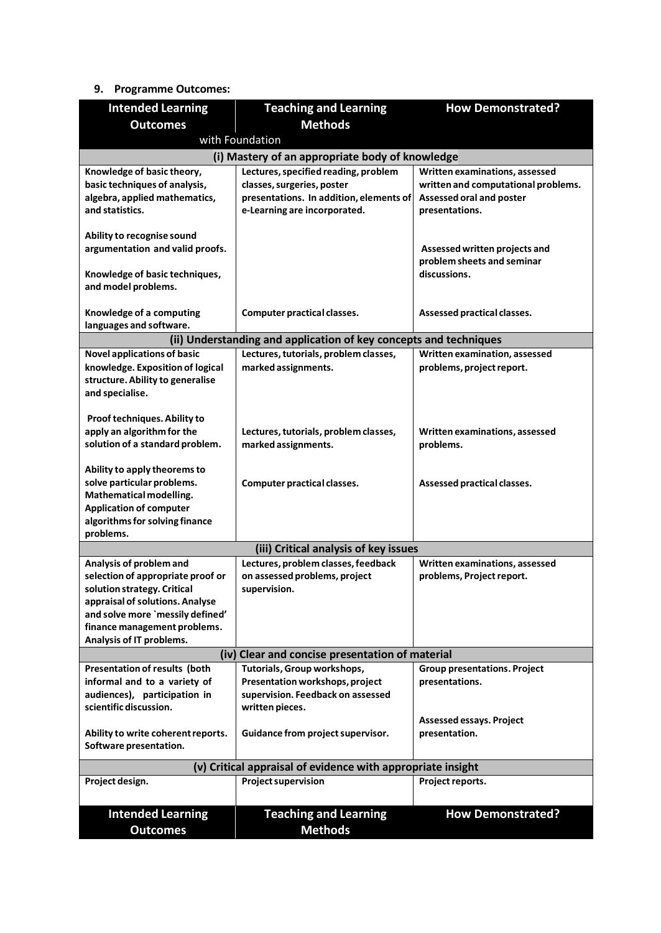# **9. Programme Outcomes:**

| <b>Intended Learning</b>                                                                                   | <b>Teaching and Learning</b>                                          | <b>How Demonstrated?</b>                                        |  |
|------------------------------------------------------------------------------------------------------------|-----------------------------------------------------------------------|-----------------------------------------------------------------|--|
| <b>Methods</b><br><b>Outcomes</b>                                                                          |                                                                       |                                                                 |  |
| with Foundation                                                                                            |                                                                       |                                                                 |  |
|                                                                                                            | (i) Mastery of an appropriate body of knowledge                       |                                                                 |  |
| Knowledge of basic theory,                                                                                 | Lectures, specified reading, problem                                  | Written examinations, assessed                                  |  |
| basic techniques of analysis,<br>algebra, applied mathematics,                                             | classes, surgeries, poster<br>presentations. In addition, elements of | written and computational problems.<br>Assessed oral and poster |  |
| and statistics.                                                                                            | e-Learning are incorporated.                                          | presentations.                                                  |  |
|                                                                                                            |                                                                       |                                                                 |  |
| Ability to recognise sound                                                                                 |                                                                       |                                                                 |  |
| argumentation and valid proofs.                                                                            |                                                                       | Assessed written projects and                                   |  |
|                                                                                                            |                                                                       | problem sheets and seminar<br>discussions.                      |  |
| Knowledge of basic techniques,<br>and model problems.                                                      |                                                                       |                                                                 |  |
|                                                                                                            |                                                                       |                                                                 |  |
| Knowledge of a computing                                                                                   | <b>Computer practical classes.</b>                                    | Assessed practical classes.                                     |  |
| languages and software.                                                                                    |                                                                       |                                                                 |  |
|                                                                                                            | (ii) Understanding and application of key concepts and techniques     |                                                                 |  |
| <b>Novel applications of basic</b>                                                                         | Lectures, tutorials, problem classes,                                 | Written examination, assessed                                   |  |
| knowledge. Exposition of logical<br>structure. Ability to generalise                                       | marked assignments.                                                   | problems, project report.                                       |  |
| and specialise.                                                                                            |                                                                       |                                                                 |  |
|                                                                                                            |                                                                       |                                                                 |  |
| Proof techniques. Ability to                                                                               |                                                                       |                                                                 |  |
| apply an algorithm for the                                                                                 | Lectures, tutorials, problem classes,                                 | Written examinations, assessed                                  |  |
| solution of a standard problem.                                                                            | marked assignments.                                                   | problems.                                                       |  |
| Ability to apply theorems to                                                                               |                                                                       |                                                                 |  |
| solve particular problems.                                                                                 | <b>Computer practical classes.</b>                                    | Assessed practical classes.                                     |  |
| Mathematical modelling.                                                                                    |                                                                       |                                                                 |  |
| <b>Application of computer</b>                                                                             |                                                                       |                                                                 |  |
| algorithms for solving finance                                                                             |                                                                       |                                                                 |  |
| problems.                                                                                                  | (iii) Critical analysis of key issues                                 |                                                                 |  |
| Analysis of problem and                                                                                    | Lectures, problem classes, feedback                                   | Written examinations, assessed                                  |  |
| selection of appropriate proof or                                                                          | on assessed problems, project                                         | problems, Project report.                                       |  |
| solution strategy. Critical                                                                                | supervision.                                                          |                                                                 |  |
| appraisal of solutions. Analyse                                                                            |                                                                       |                                                                 |  |
| and solve more `messily defined'                                                                           |                                                                       |                                                                 |  |
| finance management problems.<br>Analysis of IT problems.                                                   |                                                                       |                                                                 |  |
| (iv) Clear and concise presentation of material                                                            |                                                                       |                                                                 |  |
| <b>Presentation of results (both</b><br>Tutorials, Group workshops,<br><b>Group presentations. Project</b> |                                                                       |                                                                 |  |
| informal and to a variety of                                                                               | Presentation workshops, project                                       | presentations.                                                  |  |
| audiences), participation in                                                                               | supervision. Feedback on assessed                                     |                                                                 |  |
| scientific discussion.                                                                                     | written pieces.                                                       |                                                                 |  |
|                                                                                                            |                                                                       | Assessed essays. Project                                        |  |
| Ability to write coherent reports.<br>Software presentation.                                               | Guidance from project supervisor.                                     | presentation.                                                   |  |
|                                                                                                            |                                                                       |                                                                 |  |
|                                                                                                            | (v) Critical appraisal of evidence with appropriate insight           |                                                                 |  |
| Project design.                                                                                            | <b>Project supervision</b>                                            | Project reports.                                                |  |
|                                                                                                            |                                                                       |                                                                 |  |
| <b>Intended Learning</b>                                                                                   | <b>Teaching and Learning</b>                                          | <b>How Demonstrated?</b>                                        |  |
| <b>Outcomes</b>                                                                                            | <b>Methods</b>                                                        |                                                                 |  |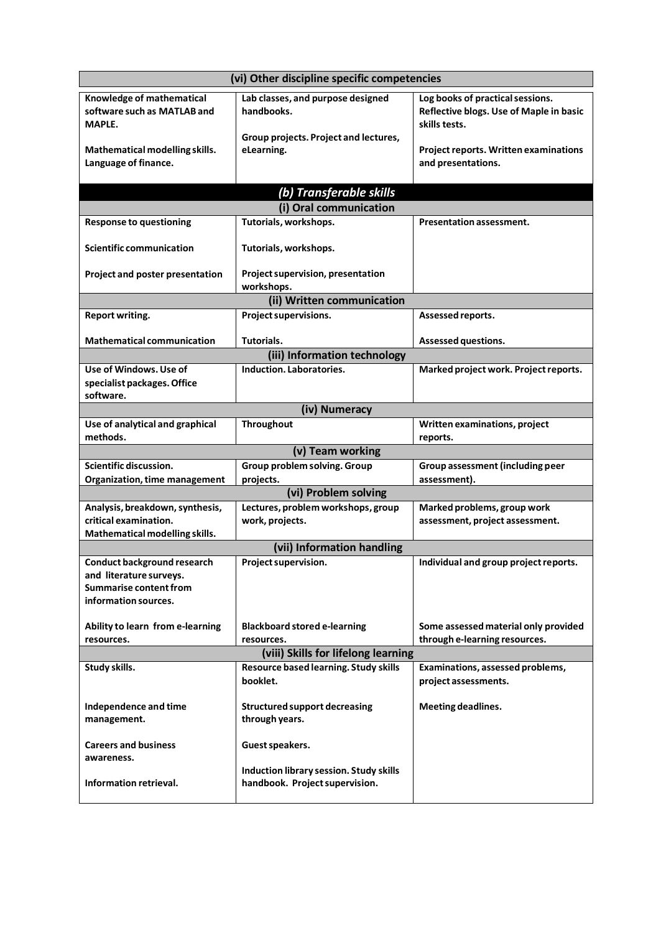| (vi) Other discipline specific competencies                        |                                                                                          |                                                                                              |
|--------------------------------------------------------------------|------------------------------------------------------------------------------------------|----------------------------------------------------------------------------------------------|
| Knowledge of mathematical<br>software such as MATLAB and<br>MAPLE. | Lab classes, and purpose designed<br>handbooks.<br>Group projects. Project and lectures, | Log books of practical sessions.<br>Reflective blogs. Use of Maple in basic<br>skills tests. |
| Mathematical modelling skills.<br>Language of finance.             | eLearning.                                                                               | Project reports. Written examinations<br>and presentations.                                  |
|                                                                    | (b) Transferable skills                                                                  |                                                                                              |
|                                                                    | (i) Oral communication                                                                   |                                                                                              |
| <b>Response to questioning</b>                                     | Tutorials, workshops.                                                                    | <b>Presentation assessment.</b>                                                              |
| <b>Scientific communication</b>                                    | Tutorials, workshops.                                                                    |                                                                                              |
| Project and poster presentation                                    | Project supervision, presentation<br>workshops.                                          |                                                                                              |
|                                                                    | (ii) Written communication                                                               |                                                                                              |
| Report writing.                                                    | Project supervisions.                                                                    | Assessed reports.                                                                            |
| <b>Mathematical communication</b>                                  | Tutorials.                                                                               | Assessed questions.                                                                          |
|                                                                    | (iii) Information technology                                                             |                                                                                              |
| Use of Windows. Use of<br>specialist packages. Office<br>software. | Induction, Laboratories.                                                                 | Marked project work. Project reports.                                                        |
|                                                                    | (iv) Numeracy                                                                            |                                                                                              |
| Use of analytical and graphical<br>methods.                        | Throughout                                                                               | Written examinations, project<br>reports.                                                    |
|                                                                    | (v) Team working                                                                         |                                                                                              |
| Scientific discussion.                                             | Group problem solving. Group                                                             | Group assessment (including peer                                                             |
| Organization, time management                                      | projects.                                                                                | assessment).                                                                                 |
|                                                                    | (vi) Problem solving                                                                     |                                                                                              |
| Analysis, breakdown, synthesis,<br>critical examination.           | Lectures, problem workshops, group                                                       | Marked problems, group work                                                                  |
| Mathematical modelling skills.                                     | work, projects.                                                                          | assessment, project assessment.                                                              |
|                                                                    | (vii) Information handling                                                               |                                                                                              |
| <b>Conduct background research</b>                                 | <b>Project supervision.</b>                                                              | Individual and group project reports.                                                        |
| and literature surveys.                                            |                                                                                          |                                                                                              |
| <b>Summarise content from</b>                                      |                                                                                          |                                                                                              |
| information sources.                                               |                                                                                          |                                                                                              |
| Ability to learn from e-learning<br>resources.                     | <b>Blackboard stored e-learning</b><br>resources.                                        | Some assessed material only provided<br>through e-learning resources.                        |
| (viii) Skills for lifelong learning                                |                                                                                          |                                                                                              |
| Study skills.                                                      | Resource based learning. Study skills<br>booklet.                                        | Examinations, assessed problems,<br>project assessments.                                     |
| Independence and time<br>management.                               | <b>Structured support decreasing</b><br>through years.                                   | <b>Meeting deadlines.</b>                                                                    |
| <b>Careers and business</b><br>awareness.                          | Guest speakers.                                                                          |                                                                                              |
| Information retrieval.                                             | Induction library session. Study skills<br>handbook. Project supervision.                |                                                                                              |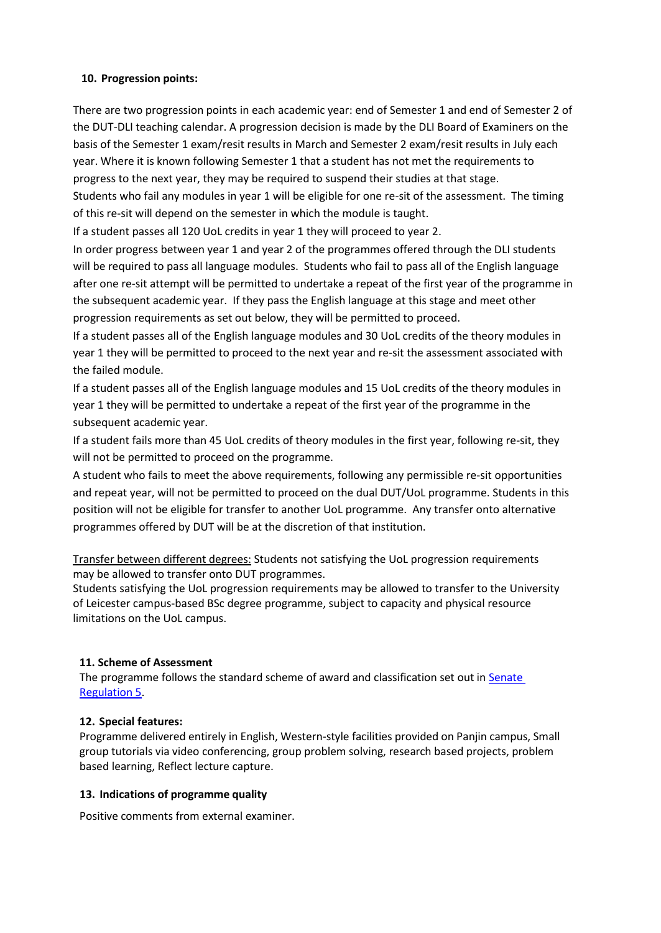# **10. Progression points:**

There are two progression points in each academic year: end of Semester 1 and end of Semester 2 of the DUT-DLI teaching calendar. A progression decision is made by the DLI Board of Examiners on the basis of the Semester 1 exam/resit results in March and Semester 2 exam/resit results in July each year. Where it is known following Semester 1 that a student has not met the requirements to progress to the next year, they may be required to suspend their studies at that stage. Students who fail any modules in year 1 will be eligible for one re-sit of the assessment. The timing of this re-sit will depend on the semester in which the module is taught.

If a student passes all 120 UoL credits in year 1 they will proceed to year 2.

In order progress between year 1 and year 2 of the programmes offered through the DLI students will be required to pass all language modules. Students who fail to pass all of the English language after one re-sit attempt will be permitted to undertake a repeat of the first year of the programme in the subsequent academic year. If they pass the English language at this stage and meet other progression requirements as set out below, they will be permitted to proceed.

If a student passes all of the English language modules and 30 UoL credits of the theory modules in year 1 they will be permitted to proceed to the next year and re-sit the assessment associated with the failed module.

If a student passes all of the English language modules and 15 UoL credits of the theory modules in year 1 they will be permitted to undertake a repeat of the first year of the programme in the subsequent academic year.

If a student fails more than 45 UoL credits of theory modules in the first year, following re-sit, they will not be permitted to proceed on the programme.

A student who fails to meet the above requirements, following any permissible re-sit opportunities and repeat year, will not be permitted to proceed on the dual DUT/UoL programme. Students in this position will not be eligible for transfer to another UoL programme. Any transfer onto alternative programmes offered by DUT will be at the discretion of that institution.

Transfer between different degrees: Students not satisfying the UoL progression requirements may be allowed to transfer onto DUT programmes.

Students satisfying the UoL progression requirements may be allowed to transfer to the University of Leicester campus-based BSc degree programme, subject to capacity and physical resource limitations on the UoL campus.

#### **11. Scheme of Assessment**

The programme follows the standard scheme of award and classification set out i[n Senate](http://www2.le.ac.uk/offices/sas2/regulations/general-regulations-for-taught-programmes) [Regulation](http://www2.le.ac.uk/offices/sas2/regulations/general-regulations-for-taught-programmes) 5.

#### **12. Special features:**

Programme delivered entirely in English, Western-style facilities provided on Panjin campus, Small group tutorials via video conferencing, group problem solving, research based projects, problem based learning, Reflect lecture capture.

#### **13. Indications of programme quality**

Positive comments from external examiner.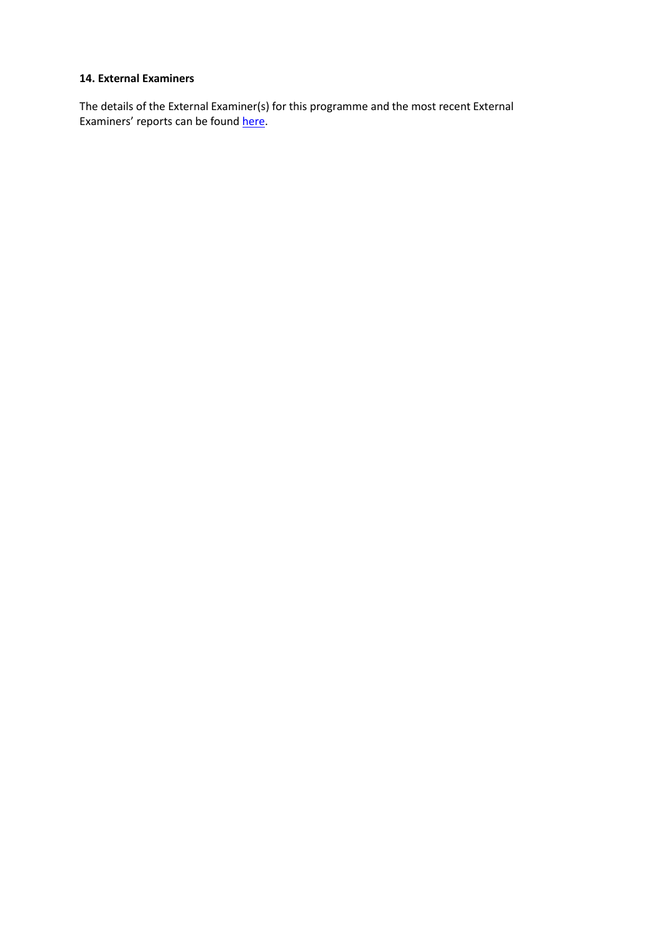#### **14. External Examiners**

The details of the External Examiner(s) for this programme and the most recent External Examiners' reports can be found [here.](https://exampapers.le.ac.uk/xmlui/handle/123456789/169)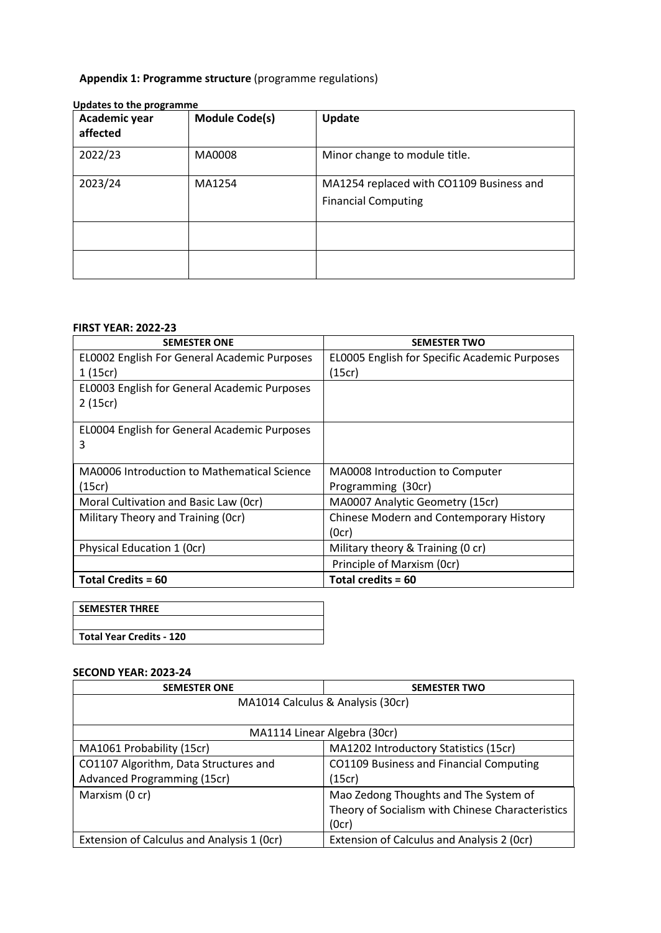# **Appendix 1: Programme structure** (programme regulations)

| Academic year<br>affected | <b>Module Code(s)</b> | Update                                                                 |
|---------------------------|-----------------------|------------------------------------------------------------------------|
| 2022/23                   | MA0008                | Minor change to module title.                                          |
| 2023/24                   | MA1254                | MA1254 replaced with CO1109 Business and<br><b>Financial Computing</b> |
|                           |                       |                                                                        |
|                           |                       |                                                                        |

#### **Updates to the programme**

# **FIRST YEAR: 2022-23**

| <b>SEMESTER ONE</b>                          | <b>SEMESTER TWO</b>                           |
|----------------------------------------------|-----------------------------------------------|
| EL0002 English For General Academic Purposes | EL0005 English for Specific Academic Purposes |
| 1(15cr)                                      | (15cr)                                        |
| EL0003 English for General Academic Purposes |                                               |
| 2(15cr)                                      |                                               |
|                                              |                                               |
| EL0004 English for General Academic Purposes |                                               |
| 3                                            |                                               |
|                                              |                                               |
| MA0006 Introduction to Mathematical Science  | MA0008 Introduction to Computer               |
| (15cr)                                       | Programming (30cr)                            |
| Moral Cultivation and Basic Law (Ocr)        | MA0007 Analytic Geometry (15cr)               |
| Military Theory and Training (Ocr)           | Chinese Modern and Contemporary History       |
|                                              | (Ocr)                                         |
| Physical Education 1 (Ocr)                   | Military theory & Training (0 cr)             |
|                                              | Principle of Marxism (Ocr)                    |
| <b>Total Credits = 60</b>                    | Total credits = 60                            |

| <b>SEMESTER THREE</b>           |  |
|---------------------------------|--|
|                                 |  |
| <b>Total Year Credits - 120</b> |  |
|                                 |  |

# **SECOND YEAR: 2023-24**

| <b>SEMESTER ONE</b>                        | <b>SEMESTER TWO</b>                              |  |
|--------------------------------------------|--------------------------------------------------|--|
| MA1014 Calculus & Analysis (30cr)          |                                                  |  |
|                                            |                                                  |  |
| MA1114 Linear Algebra (30cr)               |                                                  |  |
| MA1061 Probability (15cr)                  | MA1202 Introductory Statistics (15cr)            |  |
| CO1107 Algorithm, Data Structures and      | CO1109 Business and Financial Computing          |  |
| Advanced Programming (15cr)                | (15cr)                                           |  |
| Marxism (0 cr)                             | Mao Zedong Thoughts and The System of            |  |
|                                            | Theory of Socialism with Chinese Characteristics |  |
|                                            | (0cr)                                            |  |
| Extension of Calculus and Analysis 1 (Ocr) | Extension of Calculus and Analysis 2 (Ocr)       |  |